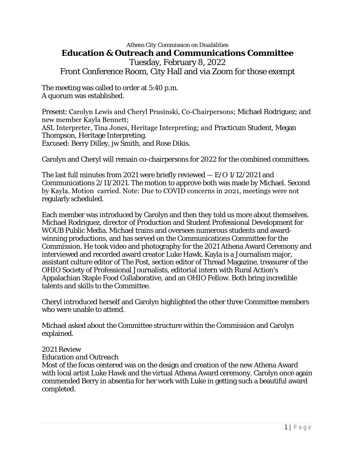# *Athens City Commission on Disabilities* **Education & Outreach and Communications Committee** Tuesday, February 8, 2022 Front Conference Room, City Hall and via Zoom for those exempt

The meeting was called to order at 5:40 p.m. A quorum was established.

Present: Carolyn Lewis and Cheryl Prusinski, Co-Chairpersons; Michael Rodriguez; and new member Kayla Bennett; ASL Interpreter, Tina Jones, Heritage Interpreting; and Practicum Student, Megan Thompson, Heritage Interpreting. Excused: Berry Dilley, jw Smith, and Rose Dikis.

Carolyn and Cheryl will remain co-chairpersons for 2022 for the combined committees.

The last full minutes from 2021 were briefly reviewed — E/O 1/12/2021 and Communications 2/11/2021. The motion to approve both was made by Michael. Second by Kayla. Motion carried. Note: Due to COVID concerns in 2021, meetings were not regularly scheduled.

Each member was introduced by Carolyn and then they told us more about themselves. Michael Rodriguez, director of Production and Student Professional Development for WOUB Public Media. Michael trains and oversees numerous students and awardwinning productions, and has served on the Communications Committee for the Commission. He took video and photography for the 2021 Athena Award Ceremony and interviewed and recorded award creator Luke Hawk. Kayla is a Journalism major, assistant culture editor of The Post, section editor of Thread Magazine, treasurer of the OHIO Society of Professional Journalists, editorial intern with Rural Action's Appalachian Staple Food Collaborative, and an OHIO Fellow. Both bring incredible talents and skills to the Committee.

Cheryl introduced herself and Carolyn highlighted the other three Committee members who were unable to attend.

Michael asked about the Committee structure within the Commission and Carolyn explained.

### 2021 Review

# *Education and Outreach*

Most of the focus centered was on the design and creation of the new Athena Award with local artist Luke Hawk and the virtual Athena Award ceremony. Carolyn once again commended Berry in absentia for her work with Luke in getting such a beautiful award completed.